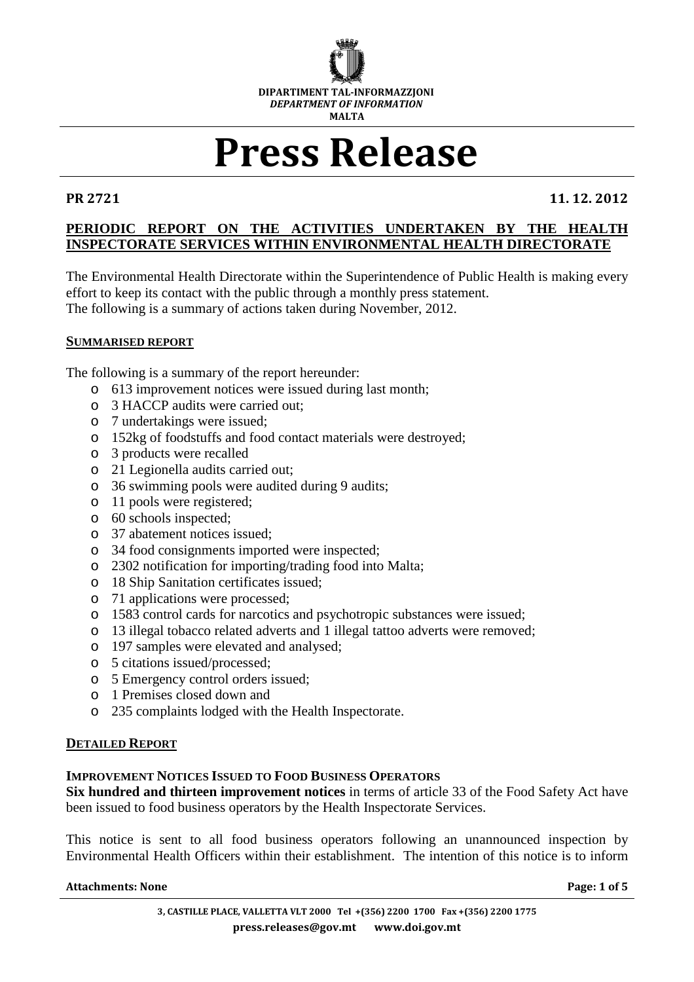

# Press Release

PR 2721 11. 12. 2012

# **PERIODIC REPORT ON THE ACTIVITIES UNDERTAKEN BY THE HEALTH INSPECTORATE SERVICES WITHIN ENVIRONMENTAL HEALTH DIRECTORATE**

The Environmental Health Directorate within the Superintendence of Public Health is making every effort to keep its contact with the public through a monthly press statement. The following is a summary of actions taken during November, 2012.

# **SUMMARISED REPORT**

The following is a summary of the report hereunder:

- o 613 improvement notices were issued during last month;
- o 3 HACCP audits were carried out;
- o 7 undertakings were issued;
- o 152kg of foodstuffs and food contact materials were destroyed;
- o 3 products were recalled
- o 21 Legionella audits carried out;
- o 36 swimming pools were audited during 9 audits;
- o 11 pools were registered;
- o 60 schools inspected;
- o 37 abatement notices issued;
- o 34 food consignments imported were inspected;
- o 2302 notification for importing/trading food into Malta;
- o 18 Ship Sanitation certificates issued;
- o 71 applications were processed;
- o 1583 control cards for narcotics and psychotropic substances were issued;
- o 13 illegal tobacco related adverts and 1 illegal tattoo adverts were removed;
- o 197 samples were elevated and analysed;
- o 5 citations issued/processed;
- o 5 Emergency control orders issued;
- o 1 Premises closed down and
- o 235 complaints lodged with the Health Inspectorate.

#### **DETAILED REPORT**

#### **IMPROVEMENT NOTICES ISSUED TO FOOD BUSINESS OPERATORS**

**Six hundred and thirteen improvement notices** in terms of article 33 of the Food Safety Act have been issued to food business operators by the Health Inspectorate Services.

This notice is sent to all food business operators following an unannounced inspection by Environmental Health Officers within their establishment. The intention of this notice is to inform

#### Attachments: None **Page: 1** of 5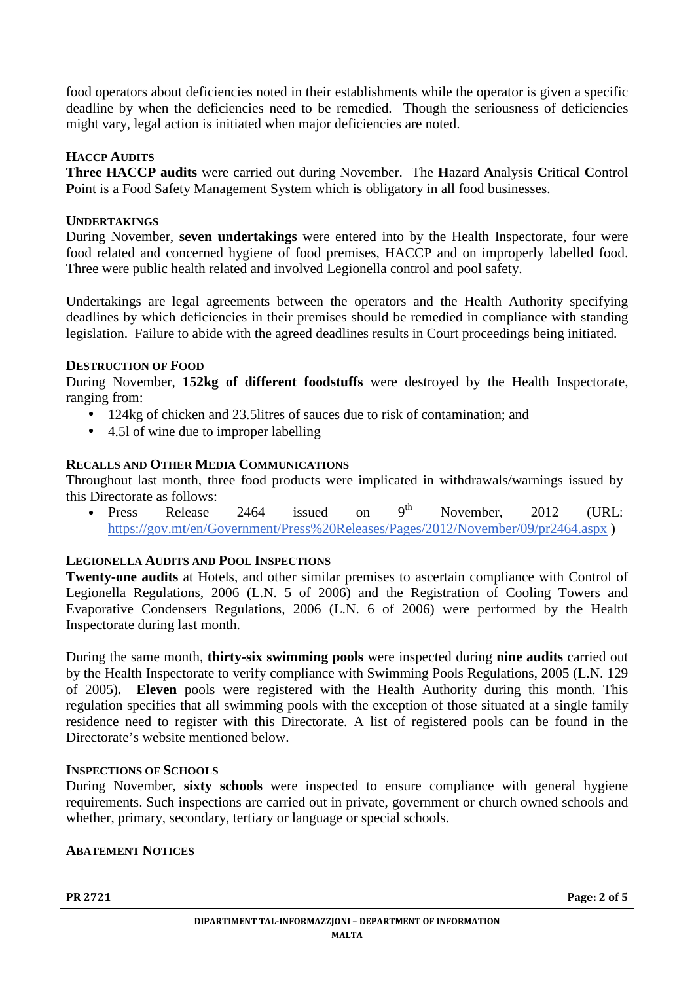food operators about deficiencies noted in their establishments while the operator is given a specific deadline by when the deficiencies need to be remedied. Though the seriousness of deficiencies might vary, legal action is initiated when major deficiencies are noted.

# **HACCP AUDITS**

**Three HACCP audits** were carried out during November. The **H**azard **A**nalysis **C**ritical **C**ontrol Point is a Food Safety Management System which is obligatory in all food businesses.

# **UNDERTAKINGS**

During November, **seven undertakings** were entered into by the Health Inspectorate, four were food related and concerned hygiene of food premises, HACCP and on improperly labelled food. Three were public health related and involved Legionella control and pool safety.

Undertakings are legal agreements between the operators and the Health Authority specifying deadlines by which deficiencies in their premises should be remedied in compliance with standing legislation. Failure to abide with the agreed deadlines results in Court proceedings being initiated.

# **DESTRUCTION OF FOOD**

During November, **152kg of different foodstuffs** were destroyed by the Health Inspectorate, ranging from:

- 124kg of chicken and 23.5litres of sauces due to risk of contamination; and
- 4.51 of wine due to improper labelling

# **RECALLS AND OTHER MEDIA COMMUNICATIONS**

Throughout last month, three food products were implicated in withdrawals/warnings issued by this Directorate as follows:

• Press Release 2464 issued on  $9^{th}$  November, 2012 (URL: https://gov.mt/en/Government/Press%20Releases/Pages/2012/November/09/pr2464.aspx )

# **LEGIONELLA AUDITS AND POOL INSPECTIONS**

**Twenty-one audits** at Hotels, and other similar premises to ascertain compliance with Control of Legionella Regulations, 2006 (L.N. 5 of 2006) and the Registration of Cooling Towers and Evaporative Condensers Regulations, 2006 (L.N. 6 of 2006) were performed by the Health Inspectorate during last month.

During the same month, **thirty-six swimming pools** were inspected during **nine audits** carried out by the Health Inspectorate to verify compliance with Swimming Pools Regulations, 2005 (L.N. 129 of 2005)**. Eleven** pools were registered with the Health Authority during this month. This regulation specifies that all swimming pools with the exception of those situated at a single family residence need to register with this Directorate. A list of registered pools can be found in the Directorate's website mentioned below.

#### **INSPECTIONS OF SCHOOLS**

During November, **sixty schools** were inspected to ensure compliance with general hygiene requirements. Such inspections are carried out in private, government or church owned schools and whether, primary, secondary, tertiary or language or special schools.

#### **ABATEMENT NOTICES**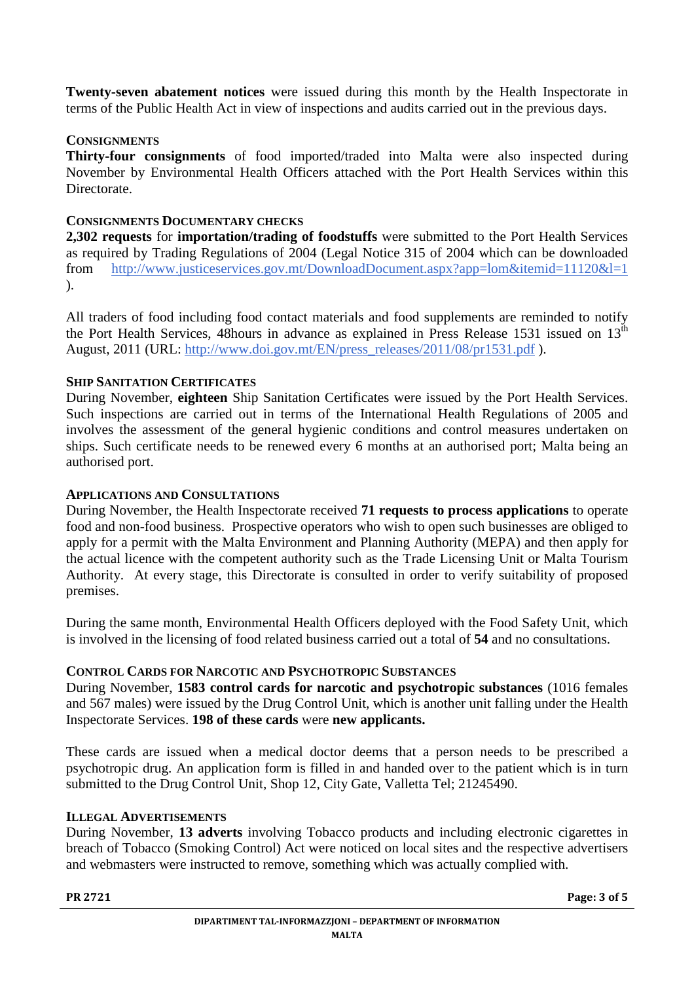**Twenty-seven abatement notices** were issued during this month by the Health Inspectorate in terms of the Public Health Act in view of inspections and audits carried out in the previous days.

# **CONSIGNMENTS**

**Thirty-four consignments** of food imported/traded into Malta were also inspected during November by Environmental Health Officers attached with the Port Health Services within this Directorate.

# **CONSIGNMENTS DOCUMENTARY CHECKS**

**2,302 requests** for **importation/trading of foodstuffs** were submitted to the Port Health Services as required by Trading Regulations of 2004 (Legal Notice 315 of 2004 which can be downloaded from http://www.justiceservices.gov.mt/DownloadDocument.aspx?app=lom&itemid=11120&l=1 ).

All traders of food including food contact materials and food supplements are reminded to notify the Port Health Services, 48hours in advance as explained in Press Release 1531 issued on  $13<sup>th</sup>$ August, 2011 (URL: http://www.doi.gov.mt/EN/press\_releases/2011/08/pr1531.pdf ).

# **SHIP SANITATION CERTIFICATES**

During November, **eighteen** Ship Sanitation Certificates were issued by the Port Health Services. Such inspections are carried out in terms of the International Health Regulations of 2005 and involves the assessment of the general hygienic conditions and control measures undertaken on ships. Such certificate needs to be renewed every 6 months at an authorised port; Malta being an authorised port.

#### **APPLICATIONS AND CONSULTATIONS**

During November, the Health Inspectorate received **71 requests to process applications** to operate food and non-food business. Prospective operators who wish to open such businesses are obliged to apply for a permit with the Malta Environment and Planning Authority (MEPA) and then apply for the actual licence with the competent authority such as the Trade Licensing Unit or Malta Tourism Authority. At every stage, this Directorate is consulted in order to verify suitability of proposed premises.

During the same month, Environmental Health Officers deployed with the Food Safety Unit, which is involved in the licensing of food related business carried out a total of **54** and no consultations.

# **CONTROL CARDS FOR NARCOTIC AND PSYCHOTROPIC SUBSTANCES**

During November, **1583 control cards for narcotic and psychotropic substances** (1016 females and 567 males) were issued by the Drug Control Unit, which is another unit falling under the Health Inspectorate Services. **198 of these cards** were **new applicants.**

These cards are issued when a medical doctor deems that a person needs to be prescribed a psychotropic drug. An application form is filled in and handed over to the patient which is in turn submitted to the Drug Control Unit, Shop 12, City Gate, Valletta Tel; 21245490.

#### **ILLEGAL ADVERTISEMENTS**

During November, **13 adverts** involving Tobacco products and including electronic cigarettes in breach of Tobacco (Smoking Control) Act were noticed on local sites and the respective advertisers and webmasters were instructed to remove, something which was actually complied with.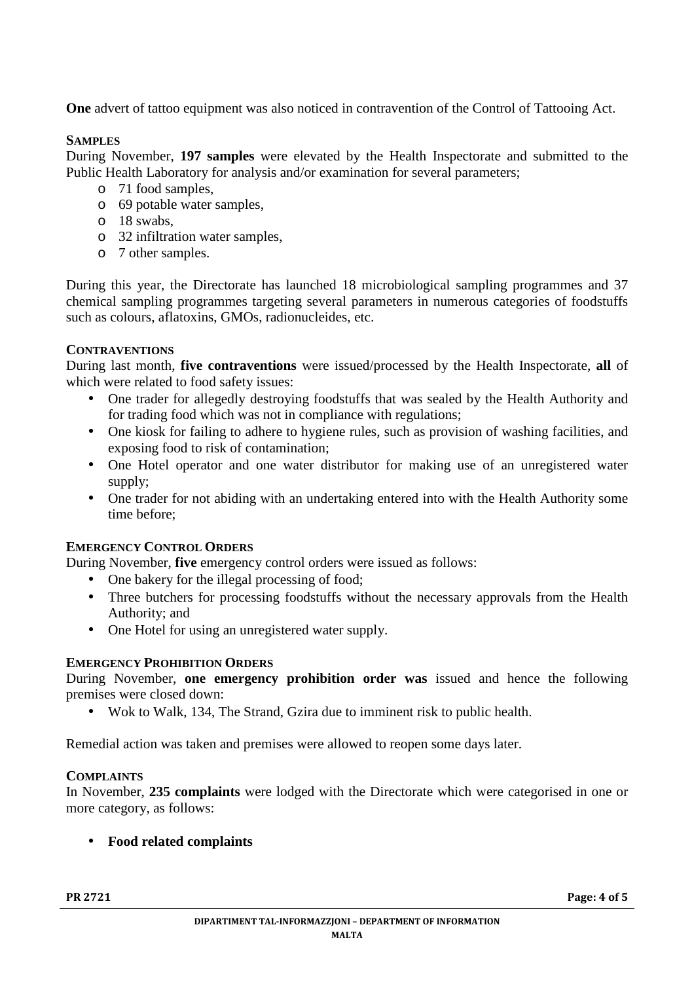**One** advert of tattoo equipment was also noticed in contravention of the Control of Tattooing Act.

#### **SAMPLES**

During November, **197 samples** were elevated by the Health Inspectorate and submitted to the Public Health Laboratory for analysis and/or examination for several parameters;

- o 71 food samples,
- o 69 potable water samples,
- o 18 swabs,
- o 32 infiltration water samples,
- o 7 other samples.

During this year, the Directorate has launched 18 microbiological sampling programmes and 37 chemical sampling programmes targeting several parameters in numerous categories of foodstuffs such as colours, aflatoxins, GMOs, radionucleides, etc.

# **CONTRAVENTIONS**

During last month, **five contraventions** were issued/processed by the Health Inspectorate, **all** of which were related to food safety issues:

- One trader for allegedly destroying foodstuffs that was sealed by the Health Authority and for trading food which was not in compliance with regulations;
- One kiosk for failing to adhere to hygiene rules, such as provision of washing facilities, and exposing food to risk of contamination;
- One Hotel operator and one water distributor for making use of an unregistered water supply;
- One trader for not abiding with an undertaking entered into with the Health Authority some time before;

#### **EMERGENCY CONTROL ORDERS**

During November, **five** emergency control orders were issued as follows:

- One bakery for the illegal processing of food;
- Three butchers for processing foodstuffs without the necessary approvals from the Health Authority; and
- One Hotel for using an unregistered water supply.

#### **EMERGENCY PROHIBITION ORDERS**

During November, **one emergency prohibition order was** issued and hence the following premises were closed down:

• Wok to Walk, 134, The Strand, Gzira due to imminent risk to public health.

Remedial action was taken and premises were allowed to reopen some days later.

#### **COMPLAINTS**

In November, **235 complaints** were lodged with the Directorate which were categorised in one or more category, as follows:

# • **Food related complaints**